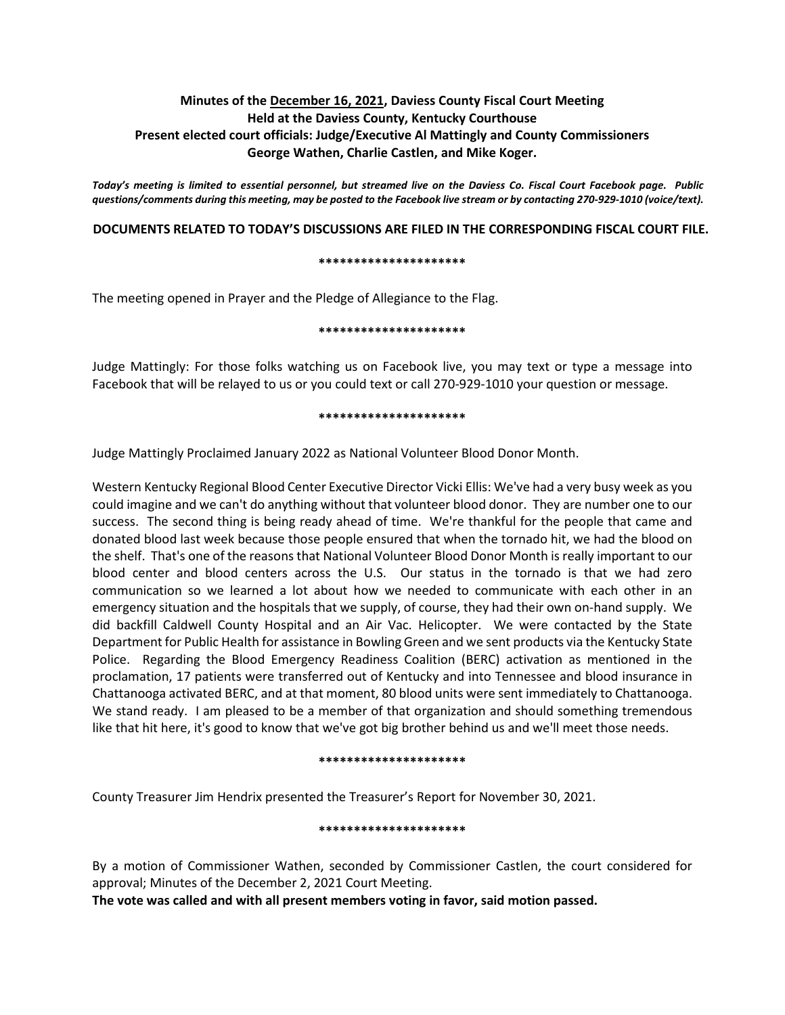# **Minutes of the December 16, 2021, Daviess County Fiscal Court Meeting Held at the Daviess County, Kentucky Courthouse Present elected court officials: Judge/Executive Al Mattingly and County Commissioners George Wathen, Charlie Castlen, and Mike Koger.**

*Today's meeting is limited to essential personnel, but streamed live on the Daviess Co. Fiscal Court Facebook page. Public questions/comments during this meeting, may be posted to the Facebook live stream or by contacting 270-929-1010 (voice/text).*

# **DOCUMENTS RELATED TO TODAY'S DISCUSSIONS ARE FILED IN THE CORRESPONDING FISCAL COURT FILE.**

#### **\*\*\*\*\*\*\*\*\*\*\*\*\*\*\*\*\*\*\*\*\***

The meeting opened in Prayer and the Pledge of Allegiance to the Flag.

### **\*\*\*\*\*\*\*\*\*\*\*\*\*\*\*\*\*\*\*\*\***

Judge Mattingly: For those folks watching us on Facebook live, you may text or type a message into Facebook that will be relayed to us or you could text or call 270-929-1010 your question or message.

#### **\*\*\*\*\*\*\*\*\*\*\*\*\*\*\*\*\*\*\*\*\***

Judge Mattingly Proclaimed January 2022 as National Volunteer Blood Donor Month.

Western Kentucky Regional Blood Center Executive Director Vicki Ellis: We've had a very busy week as you could imagine and we can't do anything without that volunteer blood donor. They are number one to our success. The second thing is being ready ahead of time. We're thankful for the people that came and donated blood last week because those people ensured that when the tornado hit, we had the blood on the shelf. That's one of the reasons that National Volunteer Blood Donor Month is really important to our blood center and blood centers across the U.S. Our status in the tornado is that we had zero communication so we learned a lot about how we needed to communicate with each other in an emergency situation and the hospitals that we supply, of course, they had their own on-hand supply. We did backfill Caldwell County Hospital and an Air Vac. Helicopter. We were contacted by the State Department for Public Health for assistance in Bowling Green and we sent products via the Kentucky State Police. Regarding the Blood Emergency Readiness Coalition (BERC) activation as mentioned in the proclamation, 17 patients were transferred out of Kentucky and into Tennessee and blood insurance in Chattanooga activated BERC, and at that moment, 80 blood units were sent immediately to Chattanooga. We stand ready. I am pleased to be a member of that organization and should something tremendous like that hit here, it's good to know that we've got big brother behind us and we'll meet those needs.

### **\*\*\*\*\*\*\*\*\*\*\*\*\*\*\*\*\*\*\*\*\***

County Treasurer Jim Hendrix presented the Treasurer's Report for November 30, 2021.

### **\*\*\*\*\*\*\*\*\*\*\*\*\*\*\*\*\*\*\*\*\***

By a motion of Commissioner Wathen, seconded by Commissioner Castlen, the court considered for approval; Minutes of the December 2, 2021 Court Meeting.

**The vote was called and with all present members voting in favor, said motion passed.**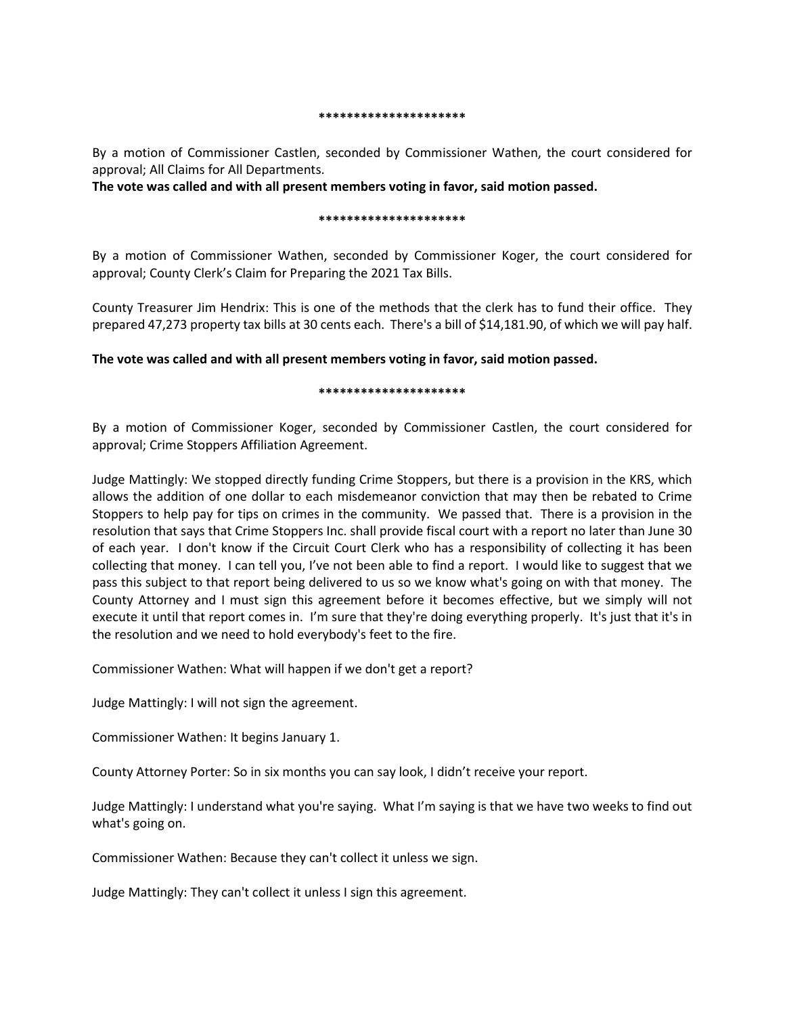#### **\*\*\*\*\*\*\*\*\*\*\*\*\*\*\*\*\*\*\*\*\***

By a motion of Commissioner Castlen, seconded by Commissioner Wathen, the court considered for approval; All Claims for All Departments.

**The vote was called and with all present members voting in favor, said motion passed.** 

#### **\*\*\*\*\*\*\*\*\*\*\*\*\*\*\*\*\*\*\*\*\***

By a motion of Commissioner Wathen, seconded by Commissioner Koger, the court considered for approval; County Clerk's Claim for Preparing the 2021 Tax Bills.

County Treasurer Jim Hendrix: This is one of the methods that the clerk has to fund their office. They prepared 47,273 property tax bills at 30 cents each. There's a bill of \$14,181.90, of which we will pay half.

**The vote was called and with all present members voting in favor, said motion passed.** 

#### **\*\*\*\*\*\*\*\*\*\*\*\*\*\*\*\*\*\*\*\*\***

By a motion of Commissioner Koger, seconded by Commissioner Castlen, the court considered for approval; Crime Stoppers Affiliation Agreement.

Judge Mattingly: We stopped directly funding Crime Stoppers, but there is a provision in the KRS, which allows the addition of one dollar to each misdemeanor conviction that may then be rebated to Crime Stoppers to help pay for tips on crimes in the community. We passed that. There is a provision in the resolution that says that Crime Stoppers Inc. shall provide fiscal court with a report no later than June 30 of each year. I don't know if the Circuit Court Clerk who has a responsibility of collecting it has been collecting that money. I can tell you, I've not been able to find a report. I would like to suggest that we pass this subject to that report being delivered to us so we know what's going on with that money. The County Attorney and I must sign this agreement before it becomes effective, but we simply will not execute it until that report comes in. I'm sure that they're doing everything properly. It's just that it's in the resolution and we need to hold everybody's feet to the fire.

Commissioner Wathen: What will happen if we don't get a report?

Judge Mattingly: I will not sign the agreement.

Commissioner Wathen: It begins January 1.

County Attorney Porter: So in six months you can say look, I didn't receive your report.

Judge Mattingly: I understand what you're saying. What I'm saying is that we have two weeks to find out what's going on.

Commissioner Wathen: Because they can't collect it unless we sign.

Judge Mattingly: They can't collect it unless I sign this agreement.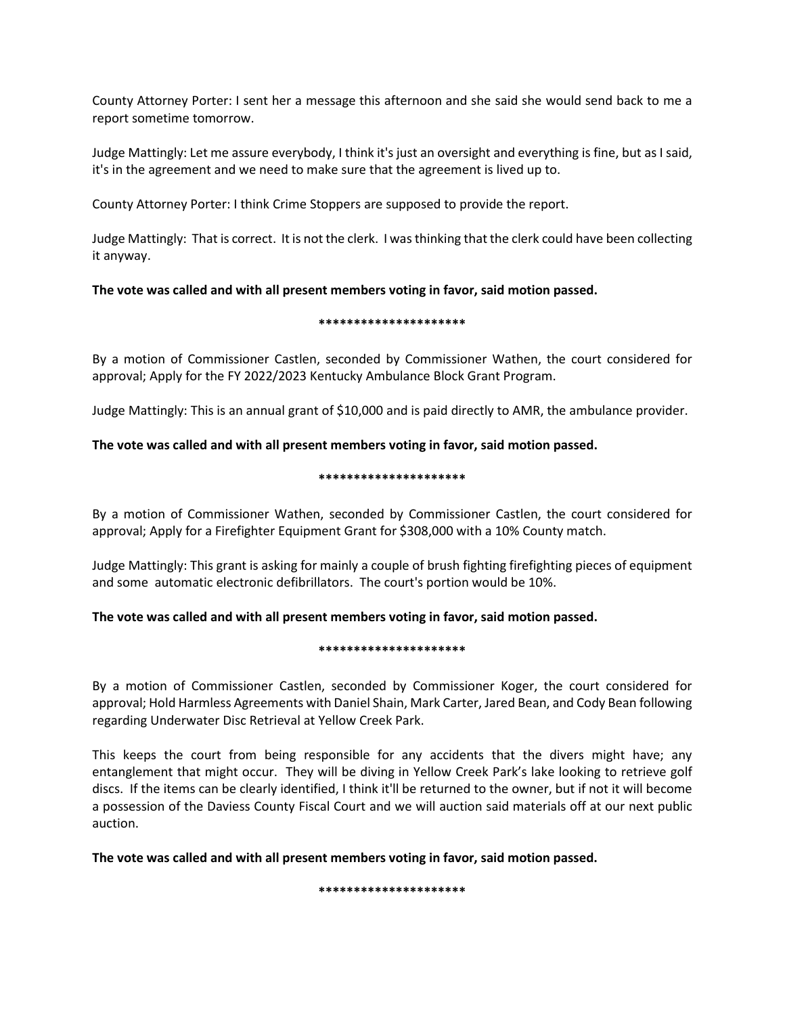County Attorney Porter: I sent her a message this afternoon and she said she would send back to me a report sometime tomorrow.

Judge Mattingly: Let me assure everybody, I think it's just an oversight and everything is fine, but as I said, it's in the agreement and we need to make sure that the agreement is lived up to.

County Attorney Porter: I think Crime Stoppers are supposed to provide the report.

Judge Mattingly: That is correct. It is not the clerk. I was thinking that the clerk could have been collecting it anyway.

**The vote was called and with all present members voting in favor, said motion passed.** 

## **\*\*\*\*\*\*\*\*\*\*\*\*\*\*\*\*\*\*\*\*\***

By a motion of Commissioner Castlen, seconded by Commissioner Wathen, the court considered for approval; Apply for the FY 2022/2023 Kentucky Ambulance Block Grant Program.

Judge Mattingly: This is an annual grant of \$10,000 and is paid directly to AMR, the ambulance provider.

# **The vote was called and with all present members voting in favor, said motion passed.**

## **\*\*\*\*\*\*\*\*\*\*\*\*\*\*\*\*\*\*\*\*\***

By a motion of Commissioner Wathen, seconded by Commissioner Castlen, the court considered for approval; Apply for a Firefighter Equipment Grant for \$308,000 with a 10% County match.

Judge Mattingly: This grant is asking for mainly a couple of brush fighting firefighting pieces of equipment and some automatic electronic defibrillators. The court's portion would be 10%.

# **The vote was called and with all present members voting in favor, said motion passed.**

## **\*\*\*\*\*\*\*\*\*\*\*\*\*\*\*\*\*\*\*\*\***

By a motion of Commissioner Castlen, seconded by Commissioner Koger, the court considered for approval; Hold Harmless Agreements with Daniel Shain, Mark Carter, Jared Bean, and Cody Bean following regarding Underwater Disc Retrieval at Yellow Creek Park.

This keeps the court from being responsible for any accidents that the divers might have; any entanglement that might occur. They will be diving in Yellow Creek Park's lake looking to retrieve golf discs. If the items can be clearly identified, I think it'll be returned to the owner, but if not it will become a possession of the Daviess County Fiscal Court and we will auction said materials off at our next public auction.

**The vote was called and with all present members voting in favor, said motion passed.** 

**\*\*\*\*\*\*\*\*\*\*\*\*\*\*\*\*\*\*\*\*\***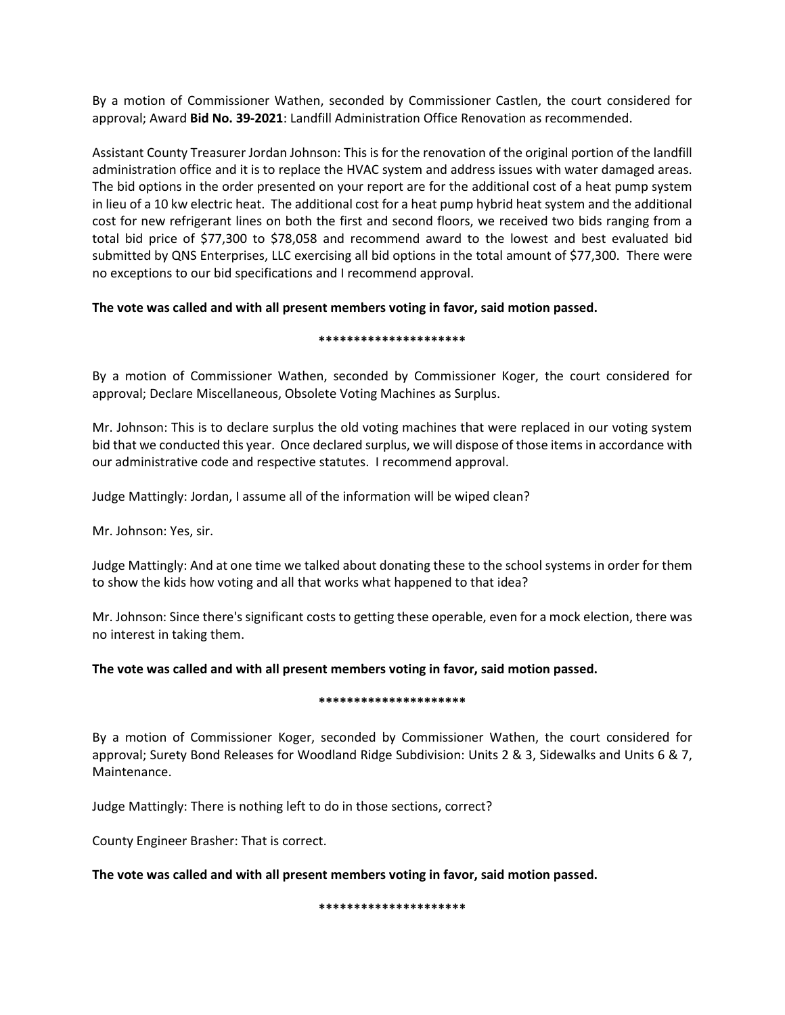By a motion of Commissioner Wathen, seconded by Commissioner Castlen, the court considered for approval; Award **Bid No. 39-2021**: Landfill Administration Office Renovation as recommended.

Assistant County Treasurer Jordan Johnson: This is for the renovation of the original portion of the landfill administration office and it is to replace the HVAC system and address issues with water damaged areas. The bid options in the order presented on your report are for the additional cost of a heat pump system in lieu of a 10 kw electric heat. The additional cost for a heat pump hybrid heat system and the additional cost for new refrigerant lines on both the first and second floors, we received two bids ranging from a total bid price of \$77,300 to \$78,058 and recommend award to the lowest and best evaluated bid submitted by QNS Enterprises, LLC exercising all bid options in the total amount of \$77,300. There were no exceptions to our bid specifications and I recommend approval.

# **The vote was called and with all present members voting in favor, said motion passed.**

## **\*\*\*\*\*\*\*\*\*\*\*\*\*\*\*\*\*\*\*\*\***

By a motion of Commissioner Wathen, seconded by Commissioner Koger, the court considered for approval; Declare Miscellaneous, Obsolete Voting Machines as Surplus.

Mr. Johnson: This is to declare surplus the old voting machines that were replaced in our voting system bid that we conducted this year. Once declared surplus, we will dispose of those items in accordance with our administrative code and respective statutes. I recommend approval.

Judge Mattingly: Jordan, I assume all of the information will be wiped clean?

Mr. Johnson: Yes, sir.

Judge Mattingly: And at one time we talked about donating these to the school systems in order for them to show the kids how voting and all that works what happened to that idea?

Mr. Johnson: Since there's significant costs to getting these operable, even for a mock election, there was no interest in taking them.

# **The vote was called and with all present members voting in favor, said motion passed.**

## **\*\*\*\*\*\*\*\*\*\*\*\*\*\*\*\*\*\*\*\*\***

By a motion of Commissioner Koger, seconded by Commissioner Wathen, the court considered for approval; Surety Bond Releases for Woodland Ridge Subdivision: Units 2 & 3, Sidewalks and Units 6 & 7, Maintenance.

Judge Mattingly: There is nothing left to do in those sections, correct?

County Engineer Brasher: That is correct.

**The vote was called and with all present members voting in favor, said motion passed.** 

**\*\*\*\*\*\*\*\*\*\*\*\*\*\*\*\*\*\*\*\*\***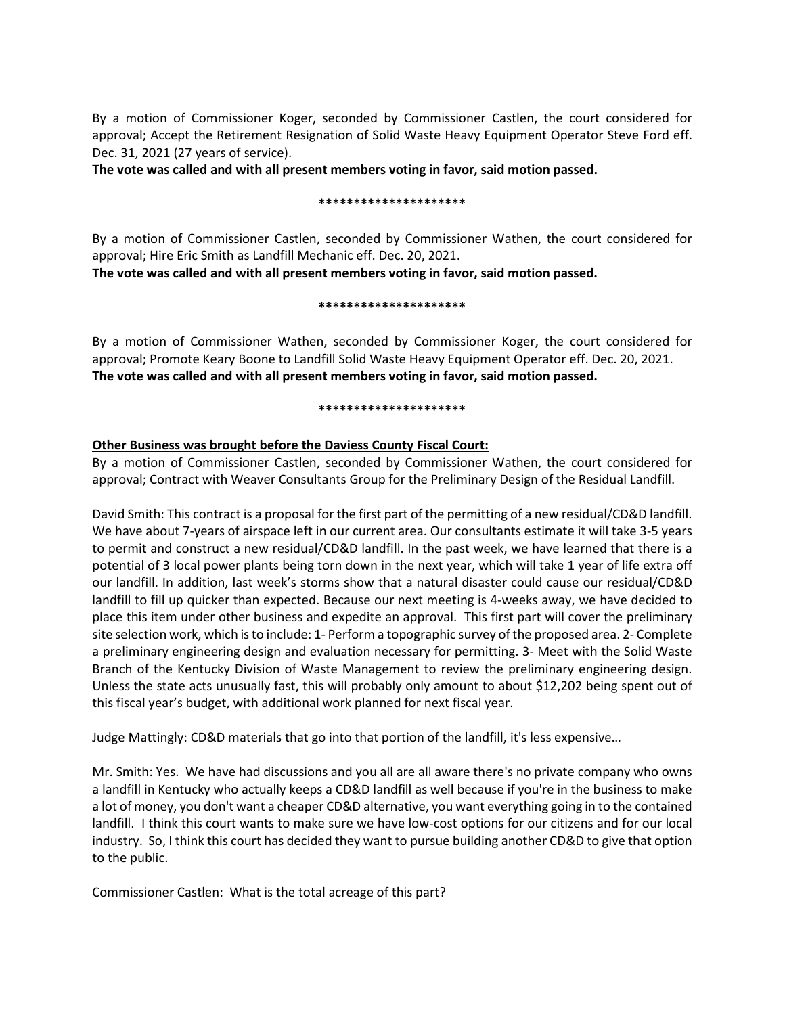By a motion of Commissioner Koger, seconded by Commissioner Castlen, the court considered for approval; Accept the Retirement Resignation of Solid Waste Heavy Equipment Operator Steve Ford eff. Dec. 31, 2021 (27 years of service).

**The vote was called and with all present members voting in favor, said motion passed.** 

## **\*\*\*\*\*\*\*\*\*\*\*\*\*\*\*\*\*\*\*\*\***

By a motion of Commissioner Castlen, seconded by Commissioner Wathen, the court considered for approval; Hire Eric Smith as Landfill Mechanic eff. Dec. 20, 2021.

**The vote was called and with all present members voting in favor, said motion passed.** 

## **\*\*\*\*\*\*\*\*\*\*\*\*\*\*\*\*\*\*\*\*\***

By a motion of Commissioner Wathen, seconded by Commissioner Koger, the court considered for approval; Promote Keary Boone to Landfill Solid Waste Heavy Equipment Operator eff. Dec. 20, 2021. **The vote was called and with all present members voting in favor, said motion passed.** 

## **\*\*\*\*\*\*\*\*\*\*\*\*\*\*\*\*\*\*\*\*\***

# **Other Business was brought before the Daviess County Fiscal Court:**

By a motion of Commissioner Castlen, seconded by Commissioner Wathen, the court considered for approval; Contract with Weaver Consultants Group for the Preliminary Design of the Residual Landfill.

David Smith: This contract is a proposal for the first part of the permitting of a new residual/CD&D landfill. We have about 7-years of airspace left in our current area. Our consultants estimate it will take 3-5 years to permit and construct a new residual/CD&D landfill. In the past week, we have learned that there is a potential of 3 local power plants being torn down in the next year, which will take 1 year of life extra off our landfill. In addition, last week's storms show that a natural disaster could cause our residual/CD&D landfill to fill up quicker than expected. Because our next meeting is 4-weeks away, we have decided to place this item under other business and expedite an approval. This first part will cover the preliminary site selection work, which is to include: 1- Perform a topographic survey of the proposed area. 2- Complete a preliminary engineering design and evaluation necessary for permitting. 3- Meet with the Solid Waste Branch of the Kentucky Division of Waste Management to review the preliminary engineering design. Unless the state acts unusually fast, this will probably only amount to about \$12,202 being spent out of this fiscal year's budget, with additional work planned for next fiscal year.

Judge Mattingly: CD&D materials that go into that portion of the landfill, it's less expensive…

Mr. Smith: Yes. We have had discussions and you all are all aware there's no private company who owns a landfill in Kentucky who actually keeps a CD&D landfill as well because if you're in the business to make a lot of money, you don't want a cheaper CD&D alternative, you want everything going in to the contained landfill. I think this court wants to make sure we have low-cost options for our citizens and for our local industry. So, I think this court has decided they want to pursue building another CD&D to give that option to the public.

Commissioner Castlen: What is the total acreage of this part?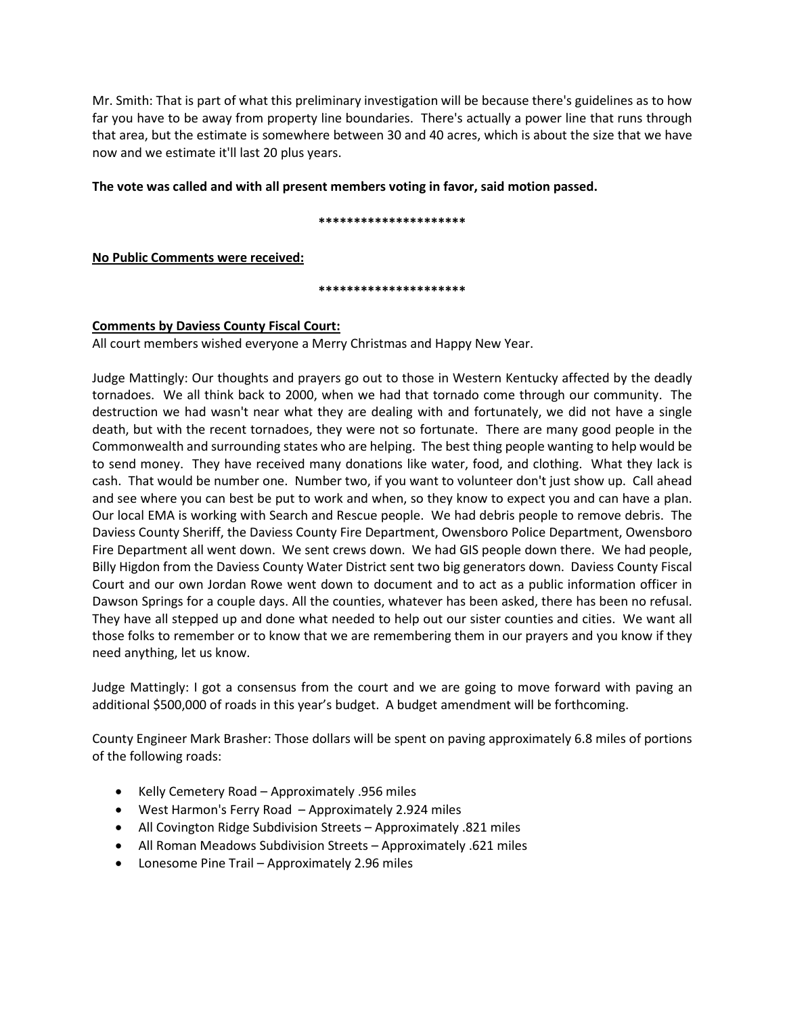Mr. Smith: That is part of what this preliminary investigation will be because there's guidelines as to how far you have to be away from property line boundaries. There's actually a power line that runs through that area, but the estimate is somewhere between 30 and 40 acres, which is about the size that we have now and we estimate it'll last 20 plus years.

**The vote was called and with all present members voting in favor, said motion passed.** 

## **\*\*\*\*\*\*\*\*\*\*\*\*\*\*\*\*\*\*\*\*\***

**No Public Comments were received:**

**\*\*\*\*\*\*\*\*\*\*\*\*\*\*\*\*\*\*\*\*\***

# **Comments by Daviess County Fiscal Court:**

All court members wished everyone a Merry Christmas and Happy New Year.

Judge Mattingly: Our thoughts and prayers go out to those in Western Kentucky affected by the deadly tornadoes. We all think back to 2000, when we had that tornado come through our community. The destruction we had wasn't near what they are dealing with and fortunately, we did not have a single death, but with the recent tornadoes, they were not so fortunate. There are many good people in the Commonwealth and surrounding states who are helping. The best thing people wanting to help would be to send money. They have received many donations like water, food, and clothing. What they lack is cash. That would be number one. Number two, if you want to volunteer don't just show up. Call ahead and see where you can best be put to work and when, so they know to expect you and can have a plan. Our local EMA is working with Search and Rescue people. We had debris people to remove debris. The Daviess County Sheriff, the Daviess County Fire Department, Owensboro Police Department, Owensboro Fire Department all went down. We sent crews down. We had GIS people down there. We had people, Billy Higdon from the Daviess County Water District sent two big generators down. Daviess County Fiscal Court and our own Jordan Rowe went down to document and to act as a public information officer in Dawson Springs for a couple days. All the counties, whatever has been asked, there has been no refusal. They have all stepped up and done what needed to help out our sister counties and cities. We want all those folks to remember or to know that we are remembering them in our prayers and you know if they need anything, let us know.

Judge Mattingly: I got a consensus from the court and we are going to move forward with paving an additional \$500,000 of roads in this year's budget. A budget amendment will be forthcoming.

County Engineer Mark Brasher: Those dollars will be spent on paving approximately 6.8 miles of portions of the following roads:

- Kelly Cemetery Road Approximately .956 miles
- West Harmon's Ferry Road Approximately 2.924 miles
- All Covington Ridge Subdivision Streets Approximately .821 miles
- All Roman Meadows Subdivision Streets Approximately .621 miles
- Lonesome Pine Trail Approximately 2.96 miles